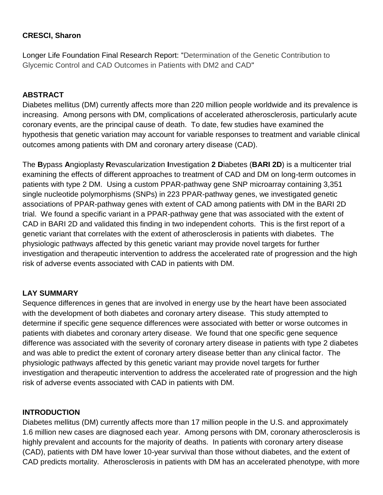### **CRESCI, Sharon**

Longer Life Foundation Final Research Report: "Determination of the Genetic Contribution to Glycemic Control and CAD Outcomes in Patients with DM2 and CAD"

#### **ABSTRACT**

Diabetes mellitus (DM) currently affects more than 220 million people worldwide and its prevalence is increasing. Among persons with DM, complications of accelerated atherosclerosis, particularly acute coronary events, are the principal cause of death. To date, few studies have examined the hypothesis that genetic variation may account for variable responses to treatment and variable clinical outcomes among patients with DM and coronary artery disease (CAD).

The **B**ypass **A**ngioplasty **R**evascularization **I**nvestigation **2 D**iabetes (**BARI 2D**) is a multicenter trial examining the effects of different approaches to treatment of CAD and DM on long-term outcomes in patients with type 2 DM. Using a custom PPAR-pathway gene SNP microarray containing 3,351 single nucleotide polymorphisms (SNPs) in 223 PPAR-pathway genes, we investigated genetic associations of PPAR-pathway genes with extent of CAD among patients with DM in the BARI 2D trial. We found a specific variant in a PPAR-pathway gene that was associated with the extent of CAD in BARI 2D and validated this finding in two independent cohorts. This is the first report of a genetic variant that correlates with the extent of atherosclerosis in patients with diabetes. The physiologic pathways affected by this genetic variant may provide novel targets for further investigation and therapeutic intervention to address the accelerated rate of progression and the high risk of adverse events associated with CAD in patients with DM.

# **LAY SUMMARY**

Sequence differences in genes that are involved in energy use by the heart have been associated with the development of both diabetes and coronary artery disease. This study attempted to determine if specific gene sequence differences were associated with better or worse outcomes in patients with diabetes and coronary artery disease. We found that one specific gene sequence difference was associated with the severity of coronary artery disease in patients with type 2 diabetes and was able to predict the extent of coronary artery disease better than any clinical factor. The physiologic pathways affected by this genetic variant may provide novel targets for further investigation and therapeutic intervention to address the accelerated rate of progression and the high risk of adverse events associated with CAD in patients with DM.

#### **INTRODUCTION**

Diabetes mellitus (DM) currently affects more than 17 million people in the U.S. and approximately 1.6 million new cases are diagnosed each year. Among persons with DM, coronary atherosclerosis is highly prevalent and accounts for the majority of deaths. In patients with coronary artery disease (CAD), patients with DM have lower 10-year survival than those without diabetes, and the extent of CAD predicts mortality. Atherosclerosis in patients with DM has an accelerated phenotype, with more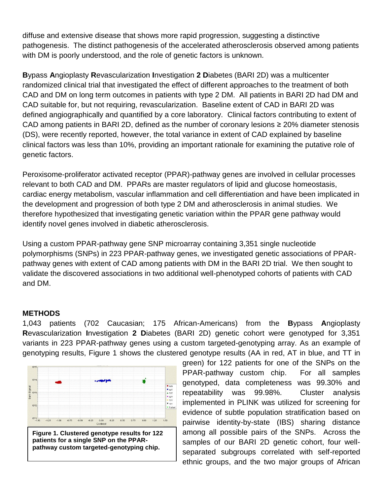diffuse and extensive disease that shows more rapid progression, suggesting a distinctive pathogenesis. The distinct pathogenesis of the accelerated atherosclerosis observed among patients with DM is poorly understood, and the role of genetic factors is unknown.

**B**ypass **A**ngioplasty **R**evascularization **I**nvestigation **2 D**iabetes (BARI 2D) was a multicenter randomized clinical trial that investigated the effect of different approaches to the treatment of both CAD and DM on long term outcomes in patients with type 2 DM. All patients in BARI 2D had DM and CAD suitable for, but not requiring, revascularization. Baseline extent of CAD in BARI 2D was defined angiographically and quantified by a core laboratory. Clinical factors contributing to extent of CAD among patients in BARI 2D, defined as the number of coronary lesions ≥ 20% diameter stenosis (DS), were recently reported, however, the total variance in extent of CAD explained by baseline clinical factors was less than 10%, providing an important rationale for examining the putative role of genetic factors.

Peroxisome-proliferator activated receptor (PPAR)-pathway genes are involved in cellular processes relevant to both CAD and DM. PPARs are master regulators of lipid and glucose homeostasis, cardiac energy metabolism, vascular inflammation and cell differentiation and have been implicated in the development and progression of both type 2 DM and atherosclerosis in animal studies. We therefore hypothesized that investigating genetic variation within the PPAR gene pathway would identify novel genes involved in diabetic atherosclerosis.

Using a custom PPAR-pathway gene SNP microarray containing 3,351 single nucleotide polymorphisms (SNPs) in 223 PPAR-pathway genes, we investigated genetic associations of PPARpathway genes with extent of CAD among patients with DM in the BARI 2D trial. We then sought to validate the discovered associations in two additional well-phenotyped cohorts of patients with CAD and DM.

#### **METHODS**

1,043 patients (702 Caucasian; 175 African-Americans) from the **B**ypass **A**ngioplasty **R**evascularization **I**nvestigation **2 D**iabetes (BARI 2D) genetic cohort were genotyped for 3,351 variants in 223 PPAR-pathway genes using a custom targeted-genotyping array. As an example of genotyping results, Figure 1 shows the clustered genotype results (AA in red, AT in blue, and TT in



green) for 122 patients for one of the SNPs on the PPAR-pathway custom chip. For all samples genotyped, data completeness was 99.30% and repeatability was 99.98%. Cluster analysis implemented in PLINK was utilized for screening for evidence of subtle population stratification based on pairwise identity-by-state (IBS) sharing distance among all possible pairs of the SNPs. Across the samples of our BARI 2D genetic cohort, four wellseparated subgroups correlated with self-reported ethnic groups, and the two major groups of African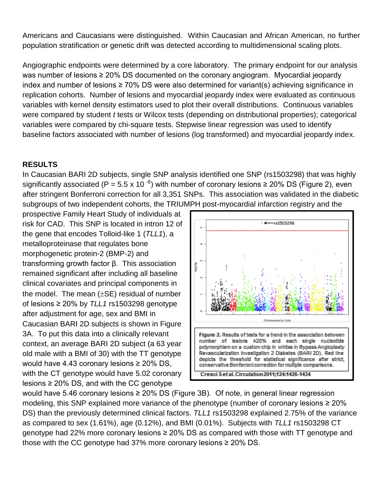Americans and Caucasians were distinguished. Within Caucasian and African American, no further population stratification or genetic drift was detected according to multidimensional scaling plots.

Angiographic endpoints were determined by a core laboratory. The primary endpoint for our analysis was number of lesions ≥ 20% DS documented on the coronary angiogram. Myocardial jeopardy index and number of lesions ≥ 70% DS were also determined for variant(s) achieving significance in replication cohorts. Number of lesions and myocardial jeopardy index were evaluated as continuous variables with kernel density estimators used to plot their overall distributions. Continuous variables were compared by student *t* tests or Wilcox tests (depending on distributional properties); categorical variables were compared by chi-square tests. Stepwise linear regression was used to identify baseline factors associated with number of lesions (log transformed) and myocardial jeopardy index.

### **RESULTS**

In Caucasian BARI 2D subjects, single SNP analysis identified one SNP (rs1503298) that was highly significantly associated (P = 5.5 x 10<sup>-6</sup>) with number of coronary lesions  $\geq$  20% DS (Figure 2), even after stringent Bonferroni correction for all 3,351 SNPs. This association was validated in the diabetic subgroups of two independent cohorts, the TRIUMPH post-myocardial infarction registry and the

prospective Family Heart Study of individuals at risk for CAD. This SNP is located in intron 12 of the gene that encodes Tolloid-like 1 (*TLL1*), a metalloproteinase that regulates bone morphogenetic protein-2 (BMP-2) and transforming growth factor β. This association remained significant after including all baseline clinical covariates and principal components in the model. The mean  $(\pm SE)$  residual of number of lesions ≥ 20% by *TLL1* rs1503298 genotype after adjustment for age, sex and BMI in Caucasian BARI 2D subjects is shown in Figure 3A. To put this data into a clinically relevant context, an average BARI 2D subject (a 63 year old male with a BMI of 30) with the TT genotype would have 4.43 coronary lesions ≥ 20% DS, with the CT genotype would have 5.02 coronary lesions  $\geq$  20% DS, and with the CC genotype



would have 5.46 coronary lesions ≥ 20% DS (Figure 3B). Of note, in general linear regression modeling, this SNP explained more variance of the phenotype (number of coronary lesions ≥ 20% DS) than the previously determined clinical factors. *TLL1* rs1503298 explained 2.75% of the variance as compared to sex (1.61%), age (0.12%), and BMI (0.01%). Subjects with *TLL1* rs1503298 CT genotype had 22% more coronary lesions ≥ 20% DS as compared with those with TT genotype and those with the CC genotype had 37% more coronary lesions  $\geq$  20% DS.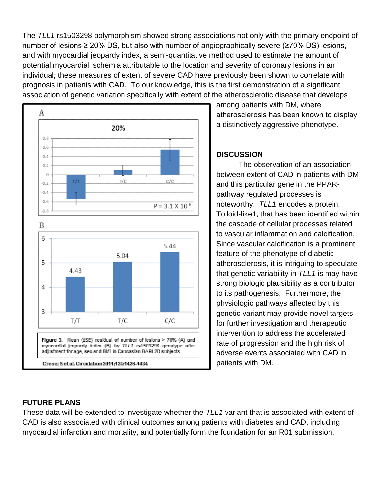The *TLL1* rs1503298 polymorphism showed strong associations not only with the primary endpoint of number of lesions ≥ 20% DS, but also with number of angiographically severe (≥70% DS) lesions, and with myocardial jeopardy index, a semi-quantitative method used to estimate the amount of potential myocardial ischemia attributable to the location and severity of coronary lesions in an individual; these measures of extent of severe CAD have previously been shown to correlate with prognosis in patients with CAD. To our knowledge, this is the first demonstration of a significant association of genetic variation specifically with extent of the atherosclerotic disease that develops



among patients with DM, where atherosclerosis has been known to display a distinctively aggressive phenotype.

#### **DISCUSSION**

The observation of an association between extent of CAD in patients with DM and this particular gene in the PPARpathway regulated processes is noteworthy. *TLL1* encodes a protein, Tolloid-like1, that has been identified within the cascade of cellular processes related to vascular inflammation and calcification. Since vascular calcification is a prominent feature of the phenotype of diabetic atherosclerosis, it is intriguing to speculate that genetic variability in *TLL1* is may have strong biologic plausibility as a contributor to its pathogenesis. Furthermore, the physiologic pathways affected by this genetic variant may provide novel targets for further investigation and therapeutic intervention to address the accelerated rate of progression and the high risk of adverse events associated with CAD in patients with DM.

# **FUTURE PLANS**

These data will be extended to investigate whether the *TLL1* variant that is associated with extent of CAD is also associated with clinical outcomes among patients with diabetes and CAD, including myocardial infarction and mortality, and potentially form the foundation for an R01 submission.